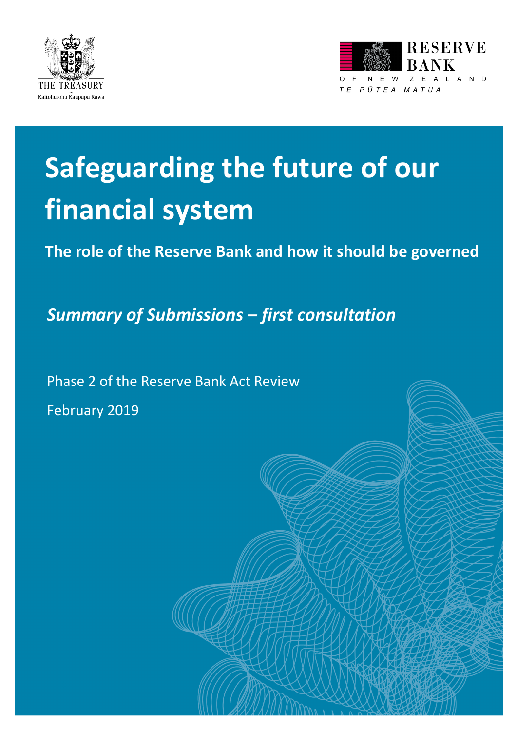



# **Safeguarding the future of our financial system**

**The role of the Reserve Bank and how it should be governed**

*Summary of Submissions – first consultation*

Phase 2 of the Reserve Bank Act Review February 2019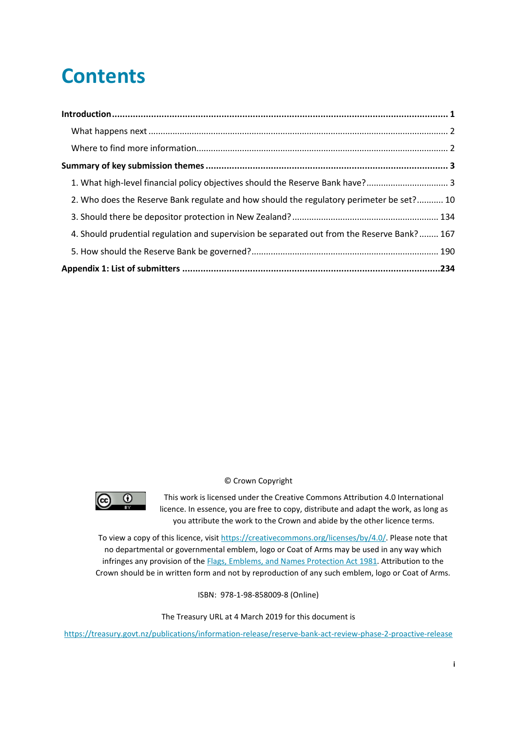## **Contents**

| 1. What high-level financial policy objectives should the Reserve Bank have? 3              |  |
|---------------------------------------------------------------------------------------------|--|
| 2. Who does the Reserve Bank regulate and how should the regulatory perimeter be set? 10    |  |
|                                                                                             |  |
| 4. Should prudential regulation and supervision be separated out from the Reserve Bank? 167 |  |
|                                                                                             |  |
|                                                                                             |  |



© Crown Copyright

This work is licensed under the Creative Commons Attribution 4.0 International licence. In essence, you are free to copy, distribute and adapt the work, as long as you attribute the work to the Crown and abide by the other licence terms.

To view a copy of this licence, visit [https://creativecommons.org/licenses/by/4.0/.](https://creativecommons.org/licenses/by/4.0/) Please note that no departmental or governmental emblem, logo or Coat of Arms may be used in any way which infringes any provision of the **Flags, Emblems, and Names Protection Act 1981**. Attribution to the Crown should be in written form and not by reproduction of any such emblem, logo or Coat of Arms.

ISBN: 978-1-98-858009-8 (Online)

The Treasury URL at 4 March 2019 for this document is

<https://treasury.govt.nz/publications/information-release/reserve-bank-act-review-phase-2-proactive-release>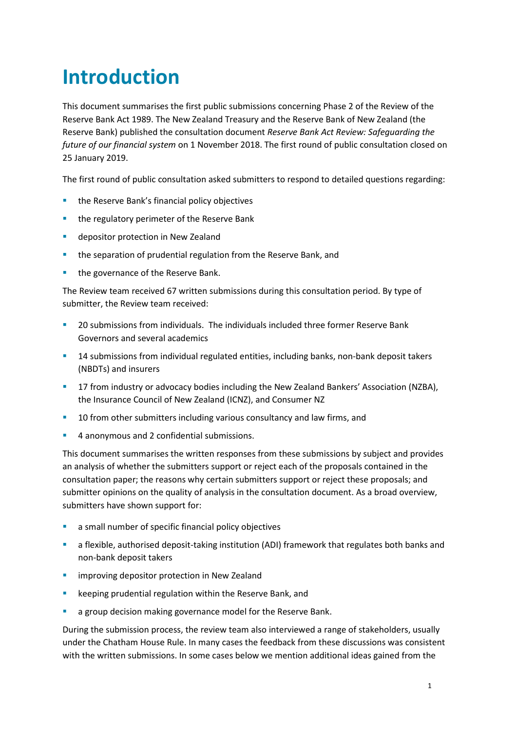## <span id="page-2-0"></span>**Introduction**

This document summarises the first public submissions concerning Phase 2 of the Review of the Reserve Bank Act 1989. The New Zealand Treasury and the Reserve Bank of New Zealand (the Reserve Bank) published the consultation document *Reserve Bank Act Review: Safeguarding the future of our financial system* on 1 November 2018. The first round of public consultation closed on 25 January 2019.

The first round of public consultation asked submitters to respond to detailed questions regarding:

- **the Reserve Bank's financial policy objectives**
- **the regulatory perimeter of the Reserve Bank**
- depositor protection in New Zealand
- **the separation of prudential regulation from the Reserve Bank, and**
- the governance of the Reserve Bank.

The Review team received 67 written submissions during this consultation period. By type of submitter, the Review team received:

- 20 submissions from individuals. The individuals included three former Reserve Bank Governors and several academics
- **14 submissions from individual regulated entities, including banks, non-bank deposit takers** (NBDTs) and insurers
- 17 from industry or advocacy bodies including the New Zealand Bankers' Association (NZBA), the Insurance Council of New Zealand (ICNZ), and Consumer NZ
- **10 from other submitters including various consultancy and law firms, and**
- **4** anonymous and 2 confidential submissions.

This document summarises the written responses from these submissions by subject and provides an analysis of whether the submitters support or reject each of the proposals contained in the consultation paper; the reasons why certain submitters support or reject these proposals; and submitter opinions on the quality of analysis in the consultation document. As a broad overview, submitters have shown support for:

- a small number of specific financial policy objectives
- a flexible, authorised deposit-taking institution (ADI) framework that regulates both banks and non-bank deposit takers
- **E** improving depositor protection in New Zealand
- **EXECTE:** keeping prudential regulation within the Reserve Bank, and
- a group decision making governance model for the Reserve Bank.

During the submission process, the review team also interviewed a range of stakeholders, usually under the Chatham House Rule. In many cases the feedback from these discussions was consistent with the written submissions. In some cases below we mention additional ideas gained from the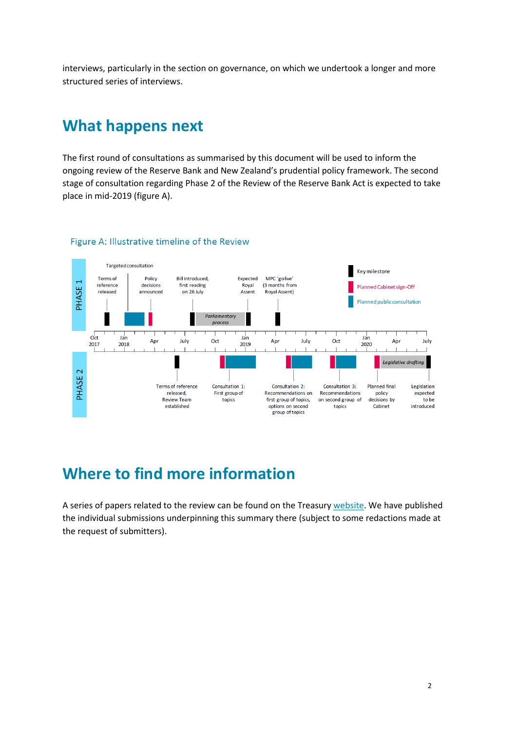interviews, particularly in the section on governance, on which we undertook a longer and more structured series of interviews.

### <span id="page-3-0"></span>**What happens next**

The first round of consultations as summarised by this document will be used to inform the ongoing review of the Reserve Bank and New Zealand's prudential policy framework. The second stage of consultation regarding Phase 2 of the Review of the Reserve Bank Act is expected to take place in mid-2019 (figure A).



#### Figure A: Illustrative timeline of the Review

### <span id="page-3-1"></span>**Where to find more information**

A series of papers related to the review can be found on the Treasury [website.](https://treasury.govt.nz/news-and-events/reviews-consultation/reviewing-reserve-bank-act) We have published the individual submissions underpinning this summary there (subject to some redactions made at the request of submitters).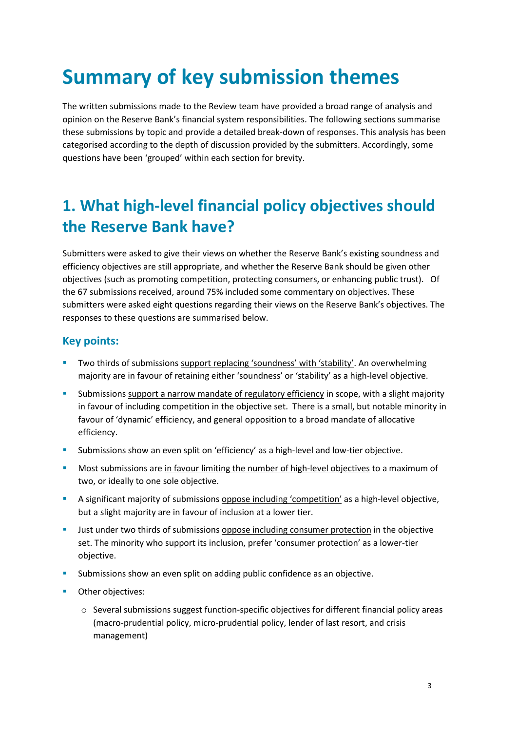## <span id="page-4-0"></span>**Summary of key submission themes**

The written submissions made to the Review team have provided a broad range of analysis and opinion on the Reserve Bank's financial system responsibilities. The following sections summarise these submissions by topic and provide a detailed break-down of responses. This analysis has been categorised according to the depth of discussion provided by the submitters. Accordingly, some questions have been 'grouped' within each section for brevity.

### <span id="page-4-1"></span>**1. What high-level financial policy objectives should the Reserve Bank have?**

Submitters were asked to give their views on whether the Reserve Bank's existing soundness and efficiency objectives are still appropriate, and whether the Reserve Bank should be given other objectives (such as promoting competition, protecting consumers, or enhancing public trust). Of the 67 submissions received, around 75% included some commentary on objectives. These submitters were asked eight questions regarding their views on the Reserve Bank's objectives. The responses to these questions are summarised below.

### **Key points:**

- Two thirds of submissions support replacing 'soundness' with 'stability'. An overwhelming majority are in favour of retaining either 'soundness' or 'stability' as a high-level objective.
- Submissions support a narrow mandate of regulatory efficiency in scope, with a slight majority in favour of including competition in the objective set. There is a small, but notable minority in favour of 'dynamic' efficiency, and general opposition to a broad mandate of allocative efficiency.
- Submissions show an even split on 'efficiency' as a high-level and low-tier objective.
- **Most submissions are in favour limiting the number of high-level objectives to a maximum of** two, or ideally to one sole objective.
- A significant majority of submissions oppose including 'competition' as a high-level objective, but a slight majority are in favour of inclusion at a lower tier.
- **Just under two thirds of submissions oppose including consumer protection in the objective** set. The minority who support its inclusion, prefer 'consumer protection' as a lower-tier objective.
- **Submissions show an even split on adding public confidence as an objective.**
- **•** Other objectives:
	- o Several submissions suggest function-specific objectives for different financial policy areas (macro-prudential policy, micro-prudential policy, lender of last resort, and crisis management)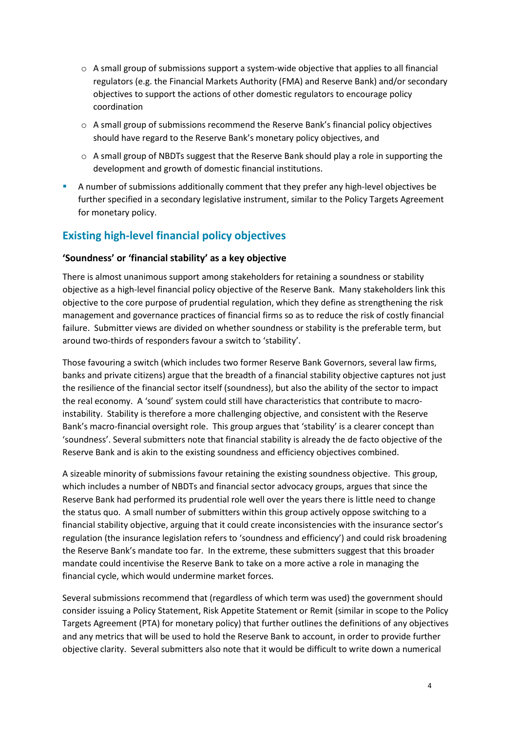- $\circ$  A small group of submissions support a system-wide objective that applies to all financial regulators (e.g. the Financial Markets Authority (FMA) and Reserve Bank) and/or secondary objectives to support the actions of other domestic regulators to encourage policy coordination
- o A small group of submissions recommend the Reserve Bank's financial policy objectives should have regard to the Reserve Bank's monetary policy objectives, and
- o A small group of NBDTs suggest that the Reserve Bank should play a role in supporting the development and growth of domestic financial institutions.
- A number of submissions additionally comment that they prefer any high-level objectives be further specified in a secondary legislative instrument, similar to the Policy Targets Agreement for monetary policy.

### **Existing high-level financial policy objectives**

### **'Soundness' or 'financial stability' as a key objective**

There is almost unanimous support among stakeholders for retaining a soundness or stability objective as a high-level financial policy objective of the Reserve Bank. Many stakeholders link this objective to the core purpose of prudential regulation, which they define as strengthening the risk management and governance practices of financial firms so as to reduce the risk of costly financial failure. Submitter views are divided on whether soundness or stability is the preferable term, but around two-thirds of responders favour a switch to 'stability'.

Those favouring a switch (which includes two former Reserve Bank Governors, several law firms, banks and private citizens) argue that the breadth of a financial stability objective captures not just the resilience of the financial sector itself (soundness), but also the ability of the sector to impact the real economy. A 'sound' system could still have characteristics that contribute to macroinstability. Stability is therefore a more challenging objective, and consistent with the Reserve Bank's macro-financial oversight role. This group argues that 'stability' is a clearer concept than 'soundness'. Several submitters note that financial stability is already the de facto objective of the Reserve Bank and is akin to the existing soundness and efficiency objectives combined.

A sizeable minority of submissions favour retaining the existing soundness objective. This group, which includes a number of NBDTs and financial sector advocacy groups, argues that since the Reserve Bank had performed its prudential role well over the years there is little need to change the status quo. A small number of submitters within this group actively oppose switching to a financial stability objective, arguing that it could create inconsistencies with the insurance sector's regulation (the insurance legislation refers to 'soundness and efficiency') and could risk broadening the Reserve Bank's mandate too far. In the extreme, these submitters suggest that this broader mandate could incentivise the Reserve Bank to take on a more active a role in managing the financial cycle, which would undermine market forces.

Several submissions recommend that (regardless of which term was used) the government should consider issuing a Policy Statement, Risk Appetite Statement or Remit (similar in scope to the Policy Targets Agreement (PTA) for monetary policy) that further outlines the definitions of any objectives and any metrics that will be used to hold the Reserve Bank to account, in order to provide further objective clarity. Several submitters also note that it would be difficult to write down a numerical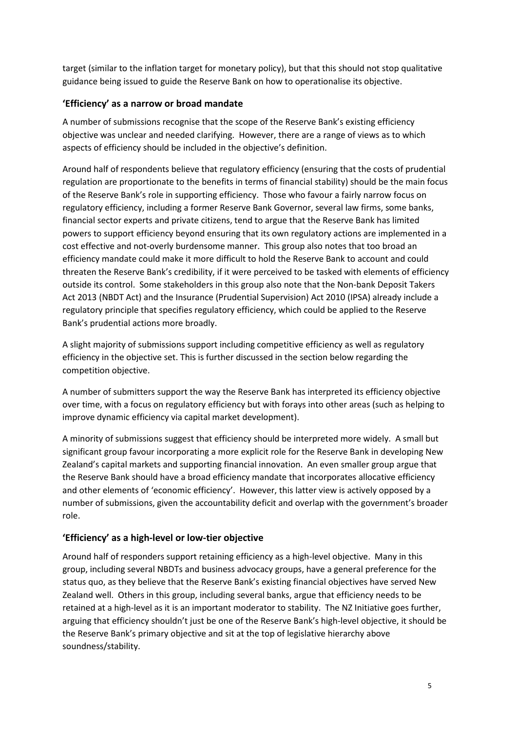target (similar to the inflation target for monetary policy), but that this should not stop qualitative guidance being issued to guide the Reserve Bank on how to operationalise its objective.

### **'Efficiency' as a narrow or broad mandate**

A number of submissions recognise that the scope of the Reserve Bank's existing efficiency objective was unclear and needed clarifying. However, there are a range of views as to which aspects of efficiency should be included in the objective's definition.

Around half of respondents believe that regulatory efficiency (ensuring that the costs of prudential regulation are proportionate to the benefits in terms of financial stability) should be the main focus of the Reserve Bank's role in supporting efficiency. Those who favour a fairly narrow focus on regulatory efficiency, including a former Reserve Bank Governor, several law firms, some banks, financial sector experts and private citizens, tend to argue that the Reserve Bank has limited powers to support efficiency beyond ensuring that its own regulatory actions are implemented in a cost effective and not-overly burdensome manner. This group also notes that too broad an efficiency mandate could make it more difficult to hold the Reserve Bank to account and could threaten the Reserve Bank's credibility, if it were perceived to be tasked with elements of efficiency outside its control. Some stakeholders in this group also note that the Non-bank Deposit Takers Act 2013 (NBDT Act) and the Insurance (Prudential Supervision) Act 2010 (IPSA) already include a regulatory principle that specifies regulatory efficiency, which could be applied to the Reserve Bank's prudential actions more broadly.

A slight majority of submissions support including competitive efficiency as well as regulatory efficiency in the objective set. This is further discussed in the section below regarding the competition objective.

A number of submitters support the way the Reserve Bank has interpreted its efficiency objective over time, with a focus on regulatory efficiency but with forays into other areas (such as helping to improve dynamic efficiency via capital market development).

A minority of submissions suggest that efficiency should be interpreted more widely. A small but significant group favour incorporating a more explicit role for the Reserve Bank in developing New Zealand's capital markets and supporting financial innovation. An even smaller group argue that the Reserve Bank should have a broad efficiency mandate that incorporates allocative efficiency and other elements of 'economic efficiency'. However, this latter view is actively opposed by a number of submissions, given the accountability deficit and overlap with the government's broader role.

### **'Efficiency' as a high-level or low-tier objective**

Around half of responders support retaining efficiency as a high-level objective. Many in this group, including several NBDTs and business advocacy groups, have a general preference for the status quo, as they believe that the Reserve Bank's existing financial objectives have served New Zealand well. Others in this group, including several banks, argue that efficiency needs to be retained at a high-level as it is an important moderator to stability. The NZ Initiative goes further, arguing that efficiency shouldn't just be one of the Reserve Bank's high-level objective, it should be the Reserve Bank's primary objective and sit at the top of legislative hierarchy above soundness/stability.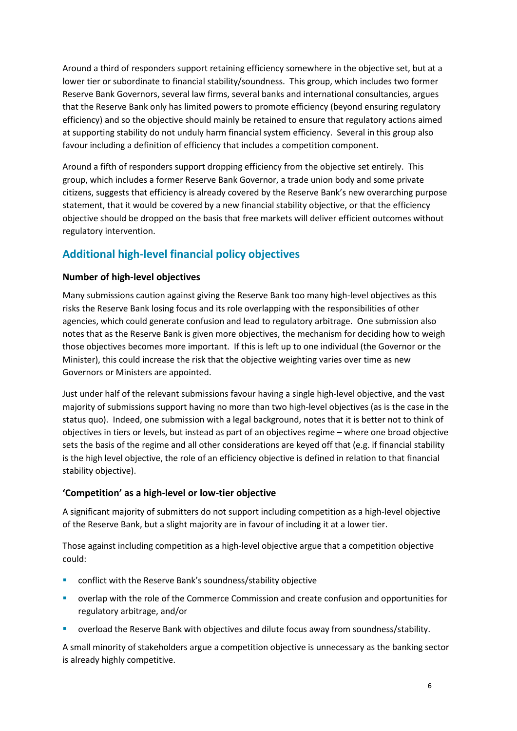Around a third of responders support retaining efficiency somewhere in the objective set, but at a lower tier or subordinate to financial stability/soundness. This group, which includes two former Reserve Bank Governors, several law firms, several banks and international consultancies, argues that the Reserve Bank only has limited powers to promote efficiency (beyond ensuring regulatory efficiency) and so the objective should mainly be retained to ensure that regulatory actions aimed at supporting stability do not unduly harm financial system efficiency. Several in this group also favour including a definition of efficiency that includes a competition component.

Around a fifth of responders support dropping efficiency from the objective set entirely. This group, which includes a former Reserve Bank Governor, a trade union body and some private citizens, suggests that efficiency is already covered by the Reserve Bank's new overarching purpose statement, that it would be covered by a new financial stability objective, or that the efficiency objective should be dropped on the basis that free markets will deliver efficient outcomes without regulatory intervention.

### **Additional high-level financial policy objectives**

### **Number of high-level objectives**

Many submissions caution against giving the Reserve Bank too many high-level objectives as this risks the Reserve Bank losing focus and its role overlapping with the responsibilities of other agencies, which could generate confusion and lead to regulatory arbitrage. One submission also notes that as the Reserve Bank is given more objectives, the mechanism for deciding how to weigh those objectives becomes more important. If this is left up to one individual (the Governor or the Minister), this could increase the risk that the objective weighting varies over time as new Governors or Ministers are appointed.

Just under half of the relevant submissions favour having a single high-level objective, and the vast majority of submissions support having no more than two high-level objectives (as is the case in the status quo). Indeed, one submission with a legal background, notes that it is better not to think of objectives in tiers or levels, but instead as part of an objectives regime – where one broad objective sets the basis of the regime and all other considerations are keyed off that (e.g. if financial stability is the high level objective, the role of an efficiency objective is defined in relation to that financial stability objective).

### **'Competition' as a high-level or low-tier objective**

A significant majority of submitters do not support including competition as a high-level objective of the Reserve Bank, but a slight majority are in favour of including it at a lower tier.

Those against including competition as a high-level objective argue that a competition objective could:

- conflict with the Reserve Bank's soundness/stability objective
- overlap with the role of the Commerce Commission and create confusion and opportunities for regulatory arbitrage, and/or
- overload the Reserve Bank with objectives and dilute focus away from soundness/stability.

A small minority of stakeholders argue a competition objective is unnecessary as the banking sector is already highly competitive.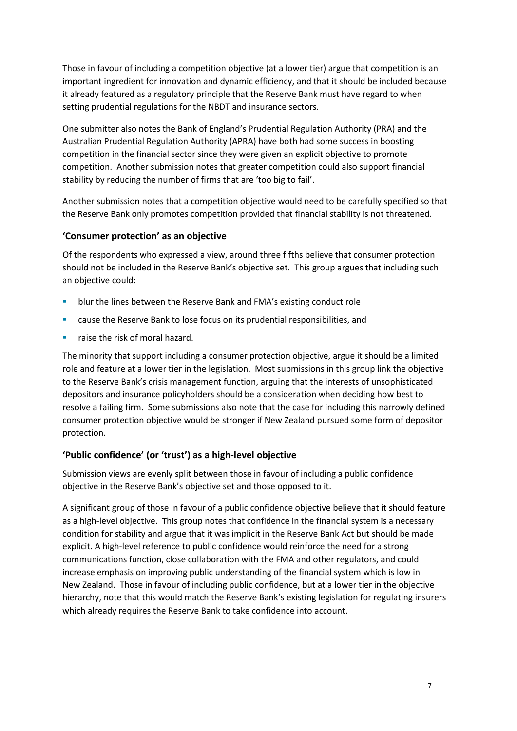Those in favour of including a competition objective (at a lower tier) argue that competition is an important ingredient for innovation and dynamic efficiency, and that it should be included because it already featured as a regulatory principle that the Reserve Bank must have regard to when setting prudential regulations for the NBDT and insurance sectors.

One submitter also notes the Bank of England's Prudential Regulation Authority (PRA) and the Australian Prudential Regulation Authority (APRA) have both had some success in boosting competition in the financial sector since they were given an explicit objective to promote competition. Another submission notes that greater competition could also support financial stability by reducing the number of firms that are 'too big to fail'.

Another submission notes that a competition objective would need to be carefully specified so that the Reserve Bank only promotes competition provided that financial stability is not threatened.

### **'Consumer protection' as an objective**

Of the respondents who expressed a view, around three fifths believe that consumer protection should not be included in the Reserve Bank's objective set. This group argues that including such an objective could:

- blur the lines between the Reserve Bank and FMA's existing conduct role
- **EXECUTE:** cause the Reserve Bank to lose focus on its prudential responsibilities, and
- **F** raise the risk of moral hazard.

The minority that support including a consumer protection objective, argue it should be a limited role and feature at a lower tier in the legislation. Most submissions in this group link the objective to the Reserve Bank's crisis management function, arguing that the interests of unsophisticated depositors and insurance policyholders should be a consideration when deciding how best to resolve a failing firm. Some submissions also note that the case for including this narrowly defined consumer protection objective would be stronger if New Zealand pursued some form of depositor protection.

### **'Public confidence' (or 'trust') as a high-level objective**

Submission views are evenly split between those in favour of including a public confidence objective in the Reserve Bank's objective set and those opposed to it.

A significant group of those in favour of a public confidence objective believe that it should feature as a high-level objective. This group notes that confidence in the financial system is a necessary condition for stability and argue that it was implicit in the Reserve Bank Act but should be made explicit. A high-level reference to public confidence would reinforce the need for a strong communications function, close collaboration with the FMA and other regulators, and could increase emphasis on improving public understanding of the financial system which is low in New Zealand. Those in favour of including public confidence, but at a lower tier in the objective hierarchy, note that this would match the Reserve Bank's existing legislation for regulating insurers which already requires the Reserve Bank to take confidence into account.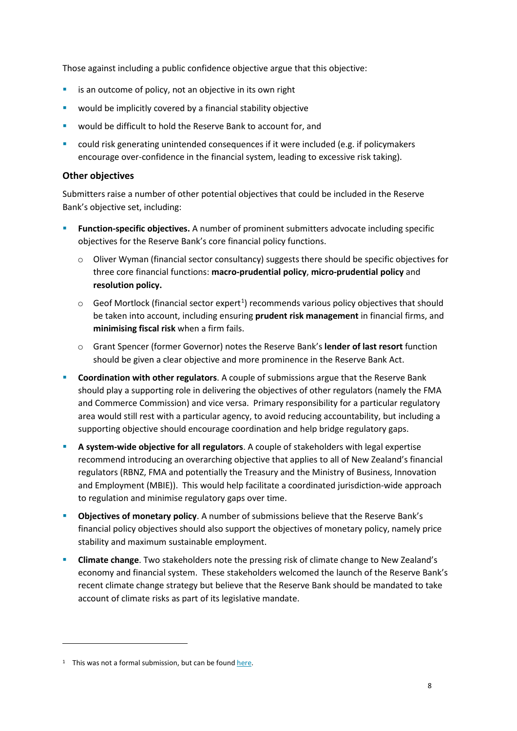Those against including a public confidence objective argue that this objective:

- **EXTERGH** is an outcome of policy, not an objective in its own right
- **•** would be implicitly covered by a financial stability objective
- **•** would be difficult to hold the Reserve Bank to account for, and
- **•** could risk generating unintended consequences if it were included (e.g. if policymakers encourage over-confidence in the financial system, leading to excessive risk taking).

#### **Other objectives**

Submitters raise a number of other potential objectives that could be included in the Reserve Bank's objective set, including:

- **Function-specific objectives.** A number of prominent submitters advocate including specific objectives for the Reserve Bank's core financial policy functions.
	- o Oliver Wyman (financial sector consultancy) suggests there should be specific objectives for three core financial functions: **macro-prudential policy**, **micro-prudential policy** and **resolution policy.**
	- $\circ$  Geof Mortlock (financial sector expert<sup>[1](#page-9-0)</sup>) recommends various policy objectives that should be taken into account, including ensuring **prudent risk management** in financial firms, and **minimising fiscal risk** when a firm fails.
	- o Grant Spencer (former Governor) notes the Reserve Bank's **lender of last resort** function should be given a clear objective and more prominence in the Reserve Bank Act.
- **Coordination with other regulators**. A couple of submissions argue that the Reserve Bank should play a supporting role in delivering the objectives of other regulators (namely the FMA and Commerce Commission) and vice versa. Primary responsibility for a particular regulatory area would still rest with a particular agency, to avoid reducing accountability, but including a supporting objective should encourage coordination and help bridge regulatory gaps.
- **A system-wide objective for all regulators**. A couple of stakeholders with legal expertise recommend introducing an overarching objective that applies to all of New Zealand's financial regulators (RBNZ, FMA and potentially the Treasury and the Ministry of Business, Innovation and Employment (MBIE)). This would help facilitate a coordinated jurisdiction-wide approach to regulation and minimise regulatory gaps over time.
- **Dbjectives of monetary policy**. A number of submissions believe that the Reserve Bank's financial policy objectives should also support the objectives of monetary policy, namely price stability and maximum sustainable employment.
- **Climate change**. Two stakeholders note the pressing risk of climate change to New Zealand's economy and financial system. These stakeholders welcomed the launch of the Reserve Bank's recent climate change strategy but believe that the Reserve Bank should be mandated to take account of climate risks as part of its legislative mandate.

 $\overline{\phantom{a}}$ 

<span id="page-9-0"></span><sup>&</sup>lt;sup>1</sup> This was not a formal submission, but can be found [here.](https://www.interest.co.nz/opinion/97356/geof-mortlock-says-financial-sector-regulator-rbnz-needs-policy-objectives-statement)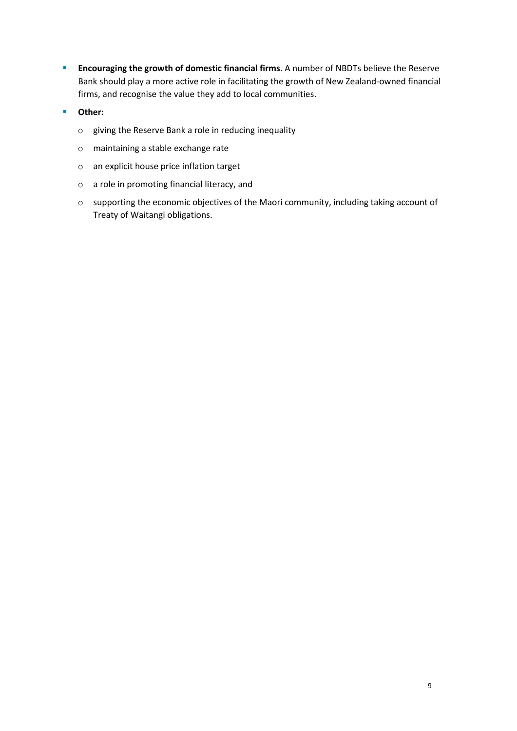- **Encouraging the growth of domestic financial firms**. A number of NBDTs believe the Reserve Bank should play a more active role in facilitating the growth of New Zealand-owned financial firms, and recognise the value they add to local communities.
- **Other:**
	- o giving the Reserve Bank a role in reducing inequality
	- o maintaining a stable exchange rate
	- o an explicit house price inflation target
	- o a role in promoting financial literacy, and
	- o supporting the economic objectives of the Maori community, including taking account of Treaty of Waitangi obligations.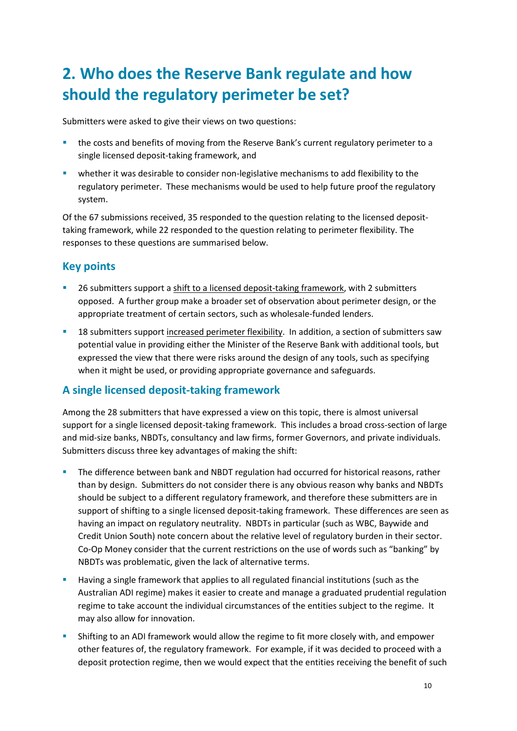### <span id="page-11-0"></span>**2. Who does the Reserve Bank regulate and how should the regulatory perimeter be set?**

Submitters were asked to give their views on two questions:

- **the costs and benefits of moving from the Reserve Bank's current regulatory perimeter to a** single licensed deposit-taking framework, and
- whether it was desirable to consider non-legislative mechanisms to add flexibility to the regulatory perimeter. These mechanisms would be used to help future proof the regulatory system.

Of the 67 submissions received, 35 responded to the question relating to the licensed deposittaking framework, while 22 responded to the question relating to perimeter flexibility. The responses to these questions are summarised below.

### **Key points**

- <sup>2</sup> 26 submitters support a shift to a licensed deposit-taking framework, with 2 submitters opposed. A further group make a broader set of observation about perimeter design, or the appropriate treatment of certain sectors, such as wholesale-funded lenders.
- **18 submitters support increased perimeter flexibility. In addition, a section of submitters saw** potential value in providing either the Minister of the Reserve Bank with additional tools, but expressed the view that there were risks around the design of any tools, such as specifying when it might be used, or providing appropriate governance and safeguards.

### **A single licensed deposit-taking framework**

Among the 28 submitters that have expressed a view on this topic, there is almost universal support for a single licensed deposit-taking framework. This includes a broad cross-section of large and mid-size banks, NBDTs, consultancy and law firms, former Governors, and private individuals. Submitters discuss three key advantages of making the shift:

- The difference between bank and NBDT regulation had occurred for historical reasons, rather than by design. Submitters do not consider there is any obvious reason why banks and NBDTs should be subject to a different regulatory framework, and therefore these submitters are in support of shifting to a single licensed deposit-taking framework. These differences are seen as having an impact on regulatory neutrality. NBDTs in particular (such as WBC, Baywide and Credit Union South) note concern about the relative level of regulatory burden in their sector. Co-Op Money consider that the current restrictions on the use of words such as "banking" by NBDTs was problematic, given the lack of alternative terms.
- Having a single framework that applies to all regulated financial institutions (such as the Australian ADI regime) makes it easier to create and manage a graduated prudential regulation regime to take account the individual circumstances of the entities subject to the regime. It may also allow for innovation.
- **Shifting to an ADI framework would allow the regime to fit more closely with, and empower** other features of, the regulatory framework. For example, if it was decided to proceed with a deposit protection regime, then we would expect that the entities receiving the benefit of such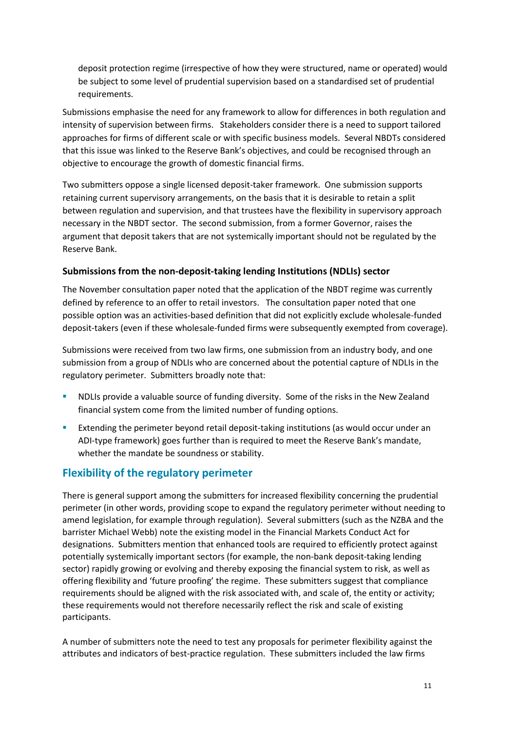deposit protection regime (irrespective of how they were structured, name or operated) would be subject to some level of prudential supervision based on a standardised set of prudential requirements.

Submissions emphasise the need for any framework to allow for differences in both regulation and intensity of supervision between firms. Stakeholders consider there is a need to support tailored approaches for firms of different scale or with specific business models. Several NBDTs considered that this issue was linked to the Reserve Bank's objectives, and could be recognised through an objective to encourage the growth of domestic financial firms.

Two submitters oppose a single licensed deposit-taker framework. One submission supports retaining current supervisory arrangements, on the basis that it is desirable to retain a split between regulation and supervision, and that trustees have the flexibility in supervisory approach necessary in the NBDT sector. The second submission, from a former Governor, raises the argument that deposit takers that are not systemically important should not be regulated by the Reserve Bank.

### **Submissions from the non-deposit-taking lending Institutions (NDLIs) sector**

The November consultation paper noted that the application of the NBDT regime was currently defined by reference to an offer to retail investors. The consultation paper noted that one possible option was an activities-based definition that did not explicitly exclude wholesale-funded deposit-takers (even if these wholesale-funded firms were subsequently exempted from coverage).

Submissions were received from two law firms, one submission from an industry body, and one submission from a group of NDLIs who are concerned about the potential capture of NDLIs in the regulatory perimeter. Submitters broadly note that:

- NDLIs provide a valuable source of funding diversity. Some of the risks in the New Zealand financial system come from the limited number of funding options.
- **Extending the perimeter beyond retail deposit-taking institutions (as would occur under an** ADI-type framework) goes further than is required to meet the Reserve Bank's mandate, whether the mandate be soundness or stability.

### **Flexibility of the regulatory perimeter**

There is general support among the submitters for increased flexibility concerning the prudential perimeter (in other words, providing scope to expand the regulatory perimeter without needing to amend legislation, for example through regulation). Several submitters (such as the NZBA and the barrister Michael Webb) note the existing model in the Financial Markets Conduct Act for designations. Submitters mention that enhanced tools are required to efficiently protect against potentially systemically important sectors (for example, the non-bank deposit-taking lending sector) rapidly growing or evolving and thereby exposing the financial system to risk, as well as offering flexibility and 'future proofing' the regime. These submitters suggest that compliance requirements should be aligned with the risk associated with, and scale of, the entity or activity; these requirements would not therefore necessarily reflect the risk and scale of existing participants.

A number of submitters note the need to test any proposals for perimeter flexibility against the attributes and indicators of best-practice regulation. These submitters included the law firms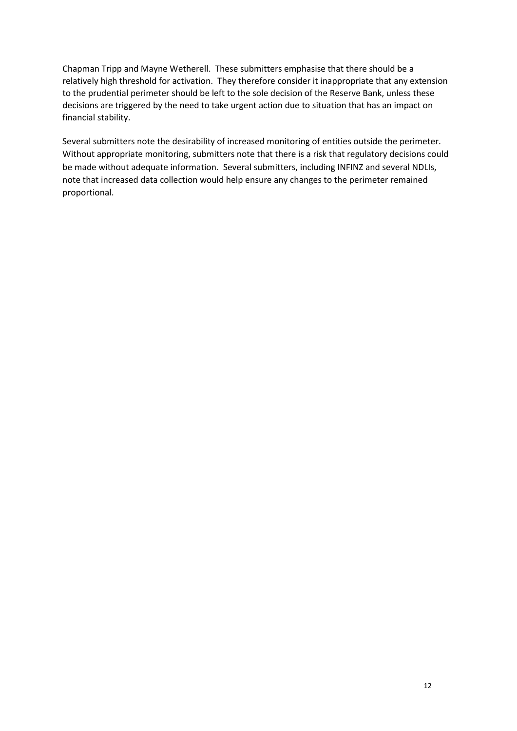Chapman Tripp and Mayne Wetherell. These submitters emphasise that there should be a relatively high threshold for activation. They therefore consider it inappropriate that any extension to the prudential perimeter should be left to the sole decision of the Reserve Bank, unless these decisions are triggered by the need to take urgent action due to situation that has an impact on financial stability.

Several submitters note the desirability of increased monitoring of entities outside the perimeter. Without appropriate monitoring, submitters note that there is a risk that regulatory decisions could be made without adequate information. Several submitters, including INFINZ and several NDLIs, note that increased data collection would help ensure any changes to the perimeter remained proportional.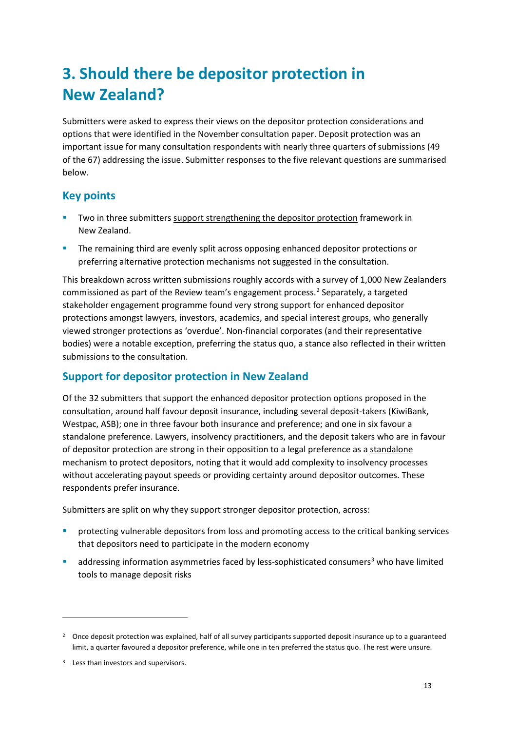### <span id="page-14-0"></span>**3. Should there be depositor protection in New Zealand?**

Submitters were asked to express their views on the depositor protection considerations and options that were identified in the November consultation paper. Deposit protection was an important issue for many consultation respondents with nearly three quarters of submissions (49 of the 67) addressing the issue. Submitter responses to the five relevant questions are summarised below.

### **Key points**

- **Two in three submitters support strengthening the depositor protection framework in** New Zealand.
- The remaining third are evenly split across opposing enhanced depositor protections or preferring alternative protection mechanisms not suggested in the consultation.

This breakdown across written submissions roughly accords with a survey of 1,000 New Zealanders commissioned as part of the Review team's engagement process. [2](#page-14-1) Separately, a targeted stakeholder engagement programme found very strong support for enhanced depositor protections amongst lawyers, investors, academics, and special interest groups, who generally viewed stronger protections as 'overdue'. Non-financial corporates (and their representative bodies) were a notable exception, preferring the status quo, a stance also reflected in their written submissions to the consultation.

### **Support for depositor protection in New Zealand**

Of the 32 submitters that support the enhanced depositor protection options proposed in the consultation, around half favour deposit insurance, including several deposit-takers (KiwiBank, Westpac, ASB); one in three favour both insurance and preference; and one in six favour a standalone preference. Lawyers, insolvency practitioners, and the deposit takers who are in favour of depositor protection are strong in their opposition to a legal preference as a standalone mechanism to protect depositors, noting that it would add complexity to insolvency processes without accelerating payout speeds or providing certainty around depositor outcomes. These respondents prefer insurance.

Submitters are split on why they support stronger depositor protection, across:

- protecting vulnerable depositors from loss and promoting access to the critical banking services that depositors need to participate in the modern economy
- addressing information asymmetries faced by less-sophisticated consumers<sup>[3](#page-14-2)</sup> who have limited tools to manage deposit risks

**.** 

<span id="page-14-1"></span><sup>&</sup>lt;sup>2</sup> Once deposit protection was explained, half of all survey participants supported deposit insurance up to a guaranteed limit, a quarter favoured a depositor preference, while one in ten preferred the status quo. The rest were unsure.

<span id="page-14-2"></span><sup>&</sup>lt;sup>3</sup> Less than investors and supervisors.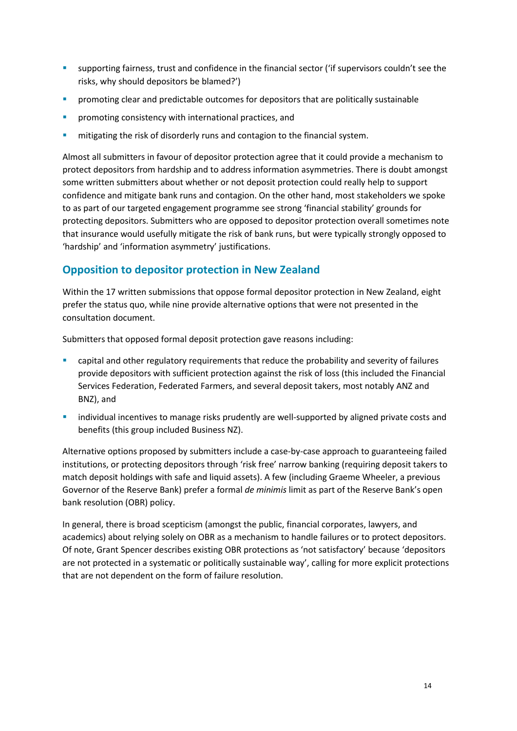- supporting fairness, trust and confidence in the financial sector ('if supervisors couldn't see the risks, why should depositors be blamed?')
- **•** promoting clear and predictable outcomes for depositors that are politically sustainable
- promoting consistency with international practices, and
- **EXED** mitigating the risk of disorderly runs and contagion to the financial system.

Almost all submitters in favour of depositor protection agree that it could provide a mechanism to protect depositors from hardship and to address information asymmetries. There is doubt amongst some written submitters about whether or not deposit protection could really help to support confidence and mitigate bank runs and contagion. On the other hand, most stakeholders we spoke to as part of our targeted engagement programme see strong 'financial stability' grounds for protecting depositors. Submitters who are opposed to depositor protection overall sometimes note that insurance would usefully mitigate the risk of bank runs, but were typically strongly opposed to 'hardship' and 'information asymmetry' justifications.

### **Opposition to depositor protection in New Zealand**

Within the 17 written submissions that oppose formal depositor protection in New Zealand, eight prefer the status quo, while nine provide alternative options that were not presented in the consultation document.

Submitters that opposed formal deposit protection gave reasons including:

- capital and other regulatory requirements that reduce the probability and severity of failures provide depositors with sufficient protection against the risk of loss (this included the Financial Services Federation, Federated Farmers, and several deposit takers, most notably ANZ and BNZ), and
- **EXED individual incentives to manage risks prudently are well-supported by aligned private costs and** benefits (this group included Business NZ).

Alternative options proposed by submitters include a case-by-case approach to guaranteeing failed institutions, or protecting depositors through 'risk free' narrow banking (requiring deposit takers to match deposit holdings with safe and liquid assets). A few (including Graeme Wheeler, a previous Governor of the Reserve Bank) prefer a formal *de minimis* limit as part of the Reserve Bank's open bank resolution (OBR) policy.

In general, there is broad scepticism (amongst the public, financial corporates, lawyers, and academics) about relying solely on OBR as a mechanism to handle failures or to protect depositors. Of note, Grant Spencer describes existing OBR protections as 'not satisfactory' because 'depositors are not protected in a systematic or politically sustainable way', calling for more explicit protections that are not dependent on the form of failure resolution.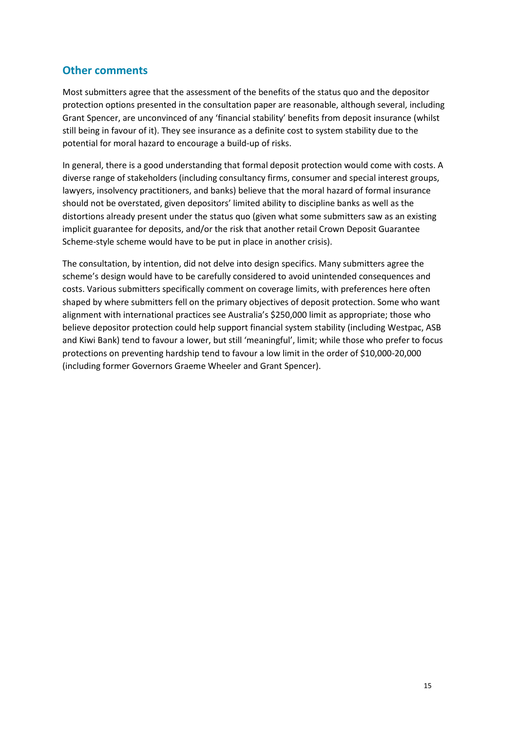### **Other comments**

Most submitters agree that the assessment of the benefits of the status quo and the depositor protection options presented in the consultation paper are reasonable, although several, including Grant Spencer, are unconvinced of any 'financial stability' benefits from deposit insurance (whilst still being in favour of it). They see insurance as a definite cost to system stability due to the potential for moral hazard to encourage a build-up of risks.

In general, there is a good understanding that formal deposit protection would come with costs. A diverse range of stakeholders (including consultancy firms, consumer and special interest groups, lawyers, insolvency practitioners, and banks) believe that the moral hazard of formal insurance should not be overstated, given depositors' limited ability to discipline banks as well as the distortions already present under the status quo (given what some submitters saw as an existing implicit guarantee for deposits, and/or the risk that another retail Crown Deposit Guarantee Scheme-style scheme would have to be put in place in another crisis).

The consultation, by intention, did not delve into design specifics. Many submitters agree the scheme's design would have to be carefully considered to avoid unintended consequences and costs. Various submitters specifically comment on coverage limits, with preferences here often shaped by where submitters fell on the primary objectives of deposit protection. Some who want alignment with international practices see Australia's \$250,000 limit as appropriate; those who believe depositor protection could help support financial system stability (including Westpac, ASB and Kiwi Bank) tend to favour a lower, but still 'meaningful', limit; while those who prefer to focus protections on preventing hardship tend to favour a low limit in the order of \$10,000-20,000 (including former Governors Graeme Wheeler and Grant Spencer).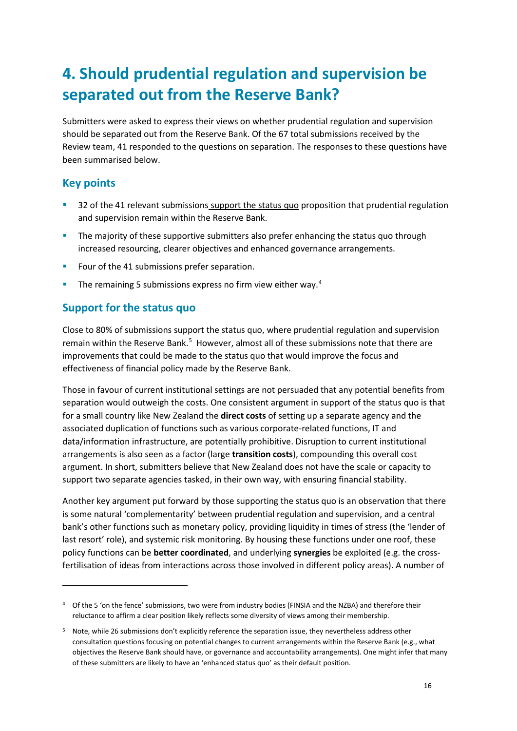### <span id="page-17-0"></span>**4. Should prudential regulation and supervision be separated out from the Reserve Bank?**

Submitters were asked to express their views on whether prudential regulation and supervision should be separated out from the Reserve Bank. Of the 67 total submissions received by the Review team, 41 responded to the questions on separation. The responses to these questions have been summarised below.

### **Key points**

 $\overline{\phantom{a}}$ 

- **32** of the 41 relevant submissions support the status quo proposition that prudential regulation and supervision remain within the Reserve Bank.
- The majority of these supportive submitters also prefer enhancing the status quo through increased resourcing, clearer objectives and enhanced governance arrangements.
- **FIMILE 12 SUBMILE 12 SUBMISSIONS PREF** reparation.
- $\blacksquare$  The remaining 5 submissions express no firm view either way.<sup>[4](#page-17-1)</sup>

### **Support for the status quo**

Close to 80% of submissions support the status quo, where prudential regulation and supervision remain within the Reserve Bank.<sup>[5](#page-17-2)</sup> However, almost all of these submissions note that there are improvements that could be made to the status quo that would improve the focus and effectiveness of financial policy made by the Reserve Bank.

Those in favour of current institutional settings are not persuaded that any potential benefits from separation would outweigh the costs. One consistent argument in support of the status quo is that for a small country like New Zealand the **direct costs** of setting up a separate agency and the associated duplication of functions such as various corporate-related functions, IT and data/information infrastructure, are potentially prohibitive. Disruption to current institutional arrangements is also seen as a factor (large **transition costs**), compounding this overall cost argument. In short, submitters believe that New Zealand does not have the scale or capacity to support two separate agencies tasked, in their own way, with ensuring financial stability.

Another key argument put forward by those supporting the status quo is an observation that there is some natural 'complementarity' between prudential regulation and supervision, and a central bank's other functions such as monetary policy, providing liquidity in times of stress (the 'lender of last resort' role), and systemic risk monitoring. By housing these functions under one roof, these policy functions can be **better coordinated**, and underlying **synergies** be exploited (e.g. the crossfertilisation of ideas from interactions across those involved in different policy areas). A number of

<span id="page-17-1"></span><sup>4</sup> Of the 5 'on the fence' submissions, two were from industry bodies (FINSIA and the NZBA) and therefore their reluctance to affirm a clear position likely reflects some diversity of views among their membership.

<span id="page-17-2"></span><sup>5</sup> Note, while 26 submissions don't explicitly reference the separation issue, they nevertheless address other consultation questions focusing on potential changes to current arrangements within the Reserve Bank (e.g., what objectives the Reserve Bank should have, or governance and accountability arrangements). One might infer that many of these submitters are likely to have an 'enhanced status quo' as their default position.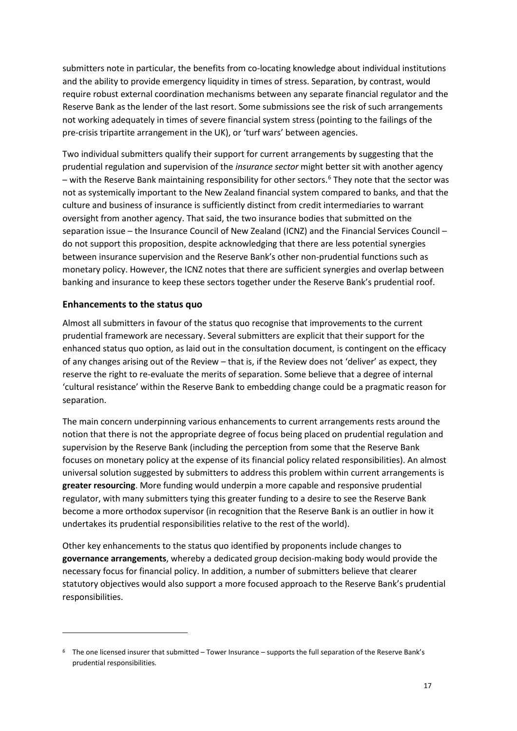submitters note in particular, the benefits from co-locating knowledge about individual institutions and the ability to provide emergency liquidity in times of stress. Separation, by contrast, would require robust external coordination mechanisms between any separate financial regulator and the Reserve Bank as the lender of the last resort. Some submissions see the risk of such arrangements not working adequately in times of severe financial system stress (pointing to the failings of the pre-crisis tripartite arrangement in the UK), or 'turf wars' between agencies.

Two individual submitters qualify their support for current arrangements by suggesting that the prudential regulation and supervision of the *insurance sector* might better sit with another agency – with the Reserve Bank maintaining responsibility for other sectors.<sup>[6](#page-18-0)</sup> They note that the sector was not as systemically important to the New Zealand financial system compared to banks, and that the culture and business of insurance is sufficiently distinct from credit intermediaries to warrant oversight from another agency. That said, the two insurance bodies that submitted on the separation issue – the Insurance Council of New Zealand (ICNZ) and the Financial Services Council – do not support this proposition, despite acknowledging that there are less potential synergies between insurance supervision and the Reserve Bank's other non-prudential functions such as monetary policy. However, the ICNZ notes that there are sufficient synergies and overlap between banking and insurance to keep these sectors together under the Reserve Bank's prudential roof.

#### **Enhancements to the status quo**

 $\overline{\phantom{a}}$ 

Almost all submitters in favour of the status quo recognise that improvements to the current prudential framework are necessary. Several submitters are explicit that their support for the enhanced status quo option, as laid out in the consultation document, is contingent on the efficacy of any changes arising out of the Review – that is, if the Review does not 'deliver' as expect, they reserve the right to re-evaluate the merits of separation. Some believe that a degree of internal 'cultural resistance' within the Reserve Bank to embedding change could be a pragmatic reason for separation.

The main concern underpinning various enhancements to current arrangements rests around the notion that there is not the appropriate degree of focus being placed on prudential regulation and supervision by the Reserve Bank (including the perception from some that the Reserve Bank focuses on monetary policy at the expense of its financial policy related responsibilities). An almost universal solution suggested by submitters to address this problem within current arrangements is **greater resourcing**. More funding would underpin a more capable and responsive prudential regulator, with many submitters tying this greater funding to a desire to see the Reserve Bank become a more orthodox supervisor (in recognition that the Reserve Bank is an outlier in how it undertakes its prudential responsibilities relative to the rest of the world).

Other key enhancements to the status quo identified by proponents include changes to **governance arrangements**, whereby a dedicated group decision-making body would provide the necessary focus for financial policy. In addition, a number of submitters believe that clearer statutory objectives would also support a more focused approach to the Reserve Bank's prudential responsibilities.

<span id="page-18-0"></span><sup>6</sup> The one licensed insurer that submitted – Tower Insurance – supports the full separation of the Reserve Bank's prudential responsibilities.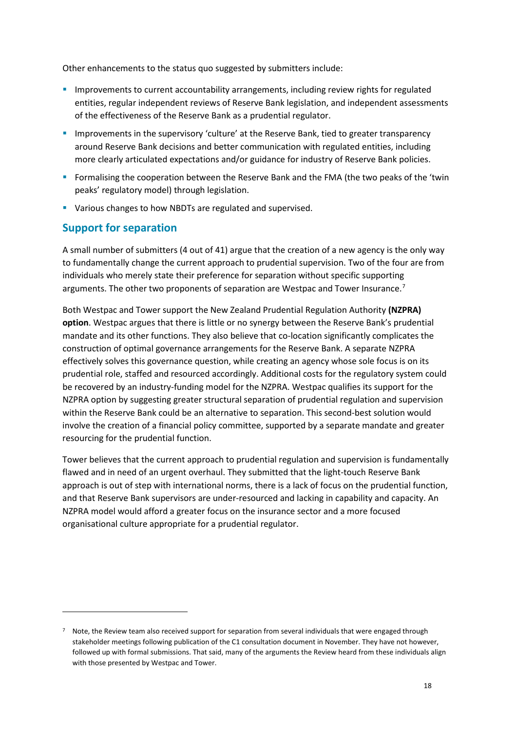Other enhancements to the status quo suggested by submitters include:

- **Improvements to current accountability arrangements, including review rights for regulated** entities, regular independent reviews of Reserve Bank legislation, and independent assessments of the effectiveness of the Reserve Bank as a prudential regulator.
- Improvements in the supervisory 'culture' at the Reserve Bank, tied to greater transparency around Reserve Bank decisions and better communication with regulated entities, including more clearly articulated expectations and/or guidance for industry of Reserve Bank policies.
- Formalising the cooperation between the Reserve Bank and the FMA (the two peaks of the 'twin peaks' regulatory model) through legislation.
- **Various changes to how NBDTs are regulated and supervised.**

### **Support for separation**

**.** 

A small number of submitters (4 out of 41) argue that the creation of a new agency is the only way to fundamentally change the current approach to prudential supervision. Two of the four are from individuals who merely state their preference for separation without specific supporting arguments. The other two proponents of separation are Westpac and Tower Insurance.<sup>[7](#page-19-0)</sup>

Both Westpac and Tower support the New Zealand Prudential Regulation Authority **(NZPRA) option**. Westpac argues that there is little or no synergy between the Reserve Bank's prudential mandate and its other functions. They also believe that co-location significantly complicates the construction of optimal governance arrangements for the Reserve Bank. A separate NZPRA effectively solves this governance question, while creating an agency whose sole focus is on its prudential role, staffed and resourced accordingly. Additional costs for the regulatory system could be recovered by an industry-funding model for the NZPRA. Westpac qualifies its support for the NZPRA option by suggesting greater structural separation of prudential regulation and supervision within the Reserve Bank could be an alternative to separation. This second-best solution would involve the creation of a financial policy committee, supported by a separate mandate and greater resourcing for the prudential function.

Tower believes that the current approach to prudential regulation and supervision is fundamentally flawed and in need of an urgent overhaul. They submitted that the light-touch Reserve Bank approach is out of step with international norms, there is a lack of focus on the prudential function, and that Reserve Bank supervisors are under-resourced and lacking in capability and capacity. An NZPRA model would afford a greater focus on the insurance sector and a more focused organisational culture appropriate for a prudential regulator.

<span id="page-19-0"></span> $7$  Note, the Review team also received support for separation from several individuals that were engaged through stakeholder meetings following publication of the C1 consultation document in November. They have not however, followed up with formal submissions. That said, many of the arguments the Review heard from these individuals align with those presented by Westpac and Tower.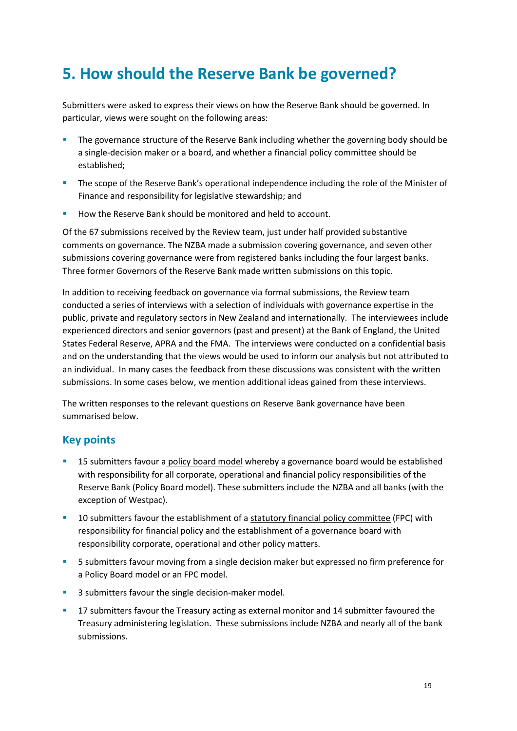### <span id="page-20-0"></span>**5. How should the Reserve Bank be governed?**

Submitters were asked to express their views on how the Reserve Bank should be governed. In particular, views were sought on the following areas:

- The governance structure of the Reserve Bank including whether the governing body should be a single-decision maker or a board, and whether a financial policy committee should be established;
- **The scope of the Reserve Bank's operational independence including the role of the Minister of 4** Finance and responsibility for legislative stewardship; and
- How the Reserve Bank should be monitored and held to account.

Of the 67 submissions received by the Review team, just under half provided substantive comments on governance. The NZBA made a submission covering governance, and seven other submissions covering governance were from registered banks including the four largest banks. Three former Governors of the Reserve Bank made written submissions on this topic.

In addition to receiving feedback on governance via formal submissions, the Review team conducted a series of interviews with a selection of individuals with governance expertise in the public, private and regulatory sectors in New Zealand and internationally. The interviewees include experienced directors and senior governors (past and present) at the Bank of England, the United States Federal Reserve, APRA and the FMA. The interviews were conducted on a confidential basis and on the understanding that the views would be used to inform our analysis but not attributed to an individual. In many cases the feedback from these discussions was consistent with the written submissions. In some cases below, we mention additional ideas gained from these interviews.

The written responses to the relevant questions on Reserve Bank governance have been summarised below.

### **Key points**

- **15 submitters favour a policy board model whereby a governance board would be established** with responsibility for all corporate, operational and financial policy responsibilities of the Reserve Bank (Policy Board model). These submitters include the NZBA and all banks (with the exception of Westpac).
- 10 submitters favour the establishment of a statutory financial policy committee (FPC) with responsibility for financial policy and the establishment of a governance board with responsibility corporate, operational and other policy matters.
- 5 submitters favour moving from a single decision maker but expressed no firm preference for a Policy Board model or an FPC model.
- 3 submitters favour the single decision-maker model.
- 17 submitters favour the Treasury acting as external monitor and 14 submitter favoured the Treasury administering legislation. These submissions include NZBA and nearly all of the bank submissions.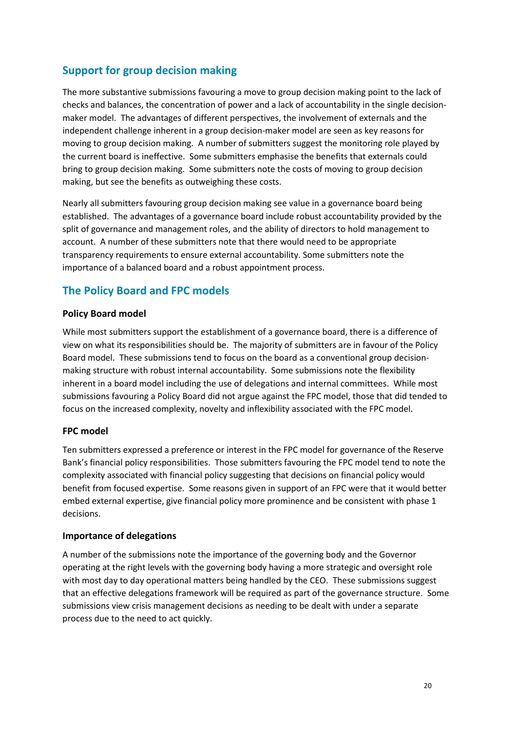### **Support for group decision making**

The more substantive submissions favouring a move to group decision making point to the lack of checks and balances, the concentration of power and a lack of accountability in the single decisionmaker model. The advantages of different perspectives, the involvement of externals and the independent challenge inherent in a group decision-maker model are seen as key reasons for moving to group decision making. A number of submitters suggest the monitoring role played by the current board is ineffective. Some submitters emphasise the benefits that externals could bring to group decision making. Some submitters note the costs of moving to group decision making, but see the benefits as outweighing these costs.

Nearly all submitters favouring group decision making see value in a governance board being established. The advantages of a governance board include robust accountability provided by the split of governance and management roles, and the ability of directors to hold management to account. A number of these submitters note that there would need to be appropriate transparency requirements to ensure external accountability. Some submitters note the importance of a balanced board and a robust appointment process.

### **The Policy Board and FPC models**

### **Policy Board model**

While most submitters support the establishment of a governance board, there is a difference of view on what its responsibilities should be. The majority of submitters are in favour of the Policy Board model. These submissions tend to focus on the board as a conventional group decisionmaking structure with robust internal accountability. Some submissions note the flexibility inherent in a board model including the use of delegations and internal committees. While most submissions favouring a Policy Board did not argue against the FPC model, those that did tended to focus on the increased complexity, novelty and inflexibility associated with the FPC model.

### **FPC model**

Ten submitters expressed a preference or interest in the FPC model for governance of the Reserve Bank's financial policy responsibilities. Those submitters favouring the FPC model tend to note the complexity associated with financial policy suggesting that decisions on financial policy would benefit from focused expertise. Some reasons given in support of an FPC were that it would better embed external expertise, give financial policy more prominence and be consistent with phase 1 decisions.

### **Importance of delegations**

A number of the submissions note the importance of the governing body and the Governor operating at the right levels with the governing body having a more strategic and oversight role with most day to day operational matters being handled by the CEO. These submissions suggest that an effective delegations framework will be required as part of the governance structure. Some submissions view crisis management decisions as needing to be dealt with under a separate process due to the need to act quickly.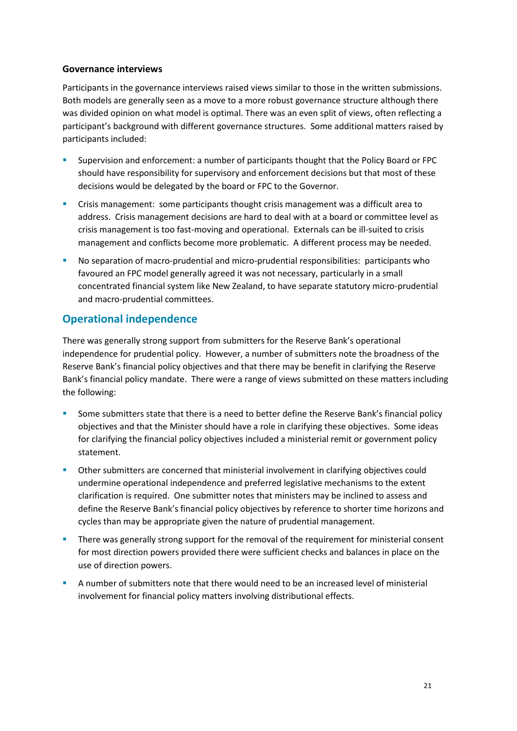### **Governance interviews**

Participants in the governance interviews raised views similar to those in the written submissions. Both models are generally seen as a move to a more robust governance structure although there was divided opinion on what model is optimal. There was an even split of views, often reflecting a participant's background with different governance structures. Some additional matters raised by participants included:

- Supervision and enforcement: a number of participants thought that the Policy Board or FPC should have responsibility for supervisory and enforcement decisions but that most of these decisions would be delegated by the board or FPC to the Governor.
- Crisis management: some participants thought crisis management was a difficult area to address. Crisis management decisions are hard to deal with at a board or committee level as crisis management is too fast-moving and operational. Externals can be ill-suited to crisis management and conflicts become more problematic. A different process may be needed.
- No separation of macro-prudential and micro-prudential responsibilities: participants who favoured an FPC model generally agreed it was not necessary, particularly in a small concentrated financial system like New Zealand, to have separate statutory micro-prudential and macro-prudential committees.

### **Operational independence**

There was generally strong support from submitters for the Reserve Bank's operational independence for prudential policy. However, a number of submitters note the broadness of the Reserve Bank's financial policy objectives and that there may be benefit in clarifying the Reserve Bank's financial policy mandate. There were a range of views submitted on these matters including the following:

- Some submitters state that there is a need to better define the Reserve Bank's financial policy objectives and that the Minister should have a role in clarifying these objectives. Some ideas for clarifying the financial policy objectives included a ministerial remit or government policy statement.
- Other submitters are concerned that ministerial involvement in clarifying objectives could undermine operational independence and preferred legislative mechanisms to the extent clarification is required. One submitter notes that ministers may be inclined to assess and define the Reserve Bank's financial policy objectives by reference to shorter time horizons and cycles than may be appropriate given the nature of prudential management.
- **There was generally strong support for the removal of the requirement for ministerial consent** for most direction powers provided there were sufficient checks and balances in place on the use of direction powers.
- A number of submitters note that there would need to be an increased level of ministerial involvement for financial policy matters involving distributional effects.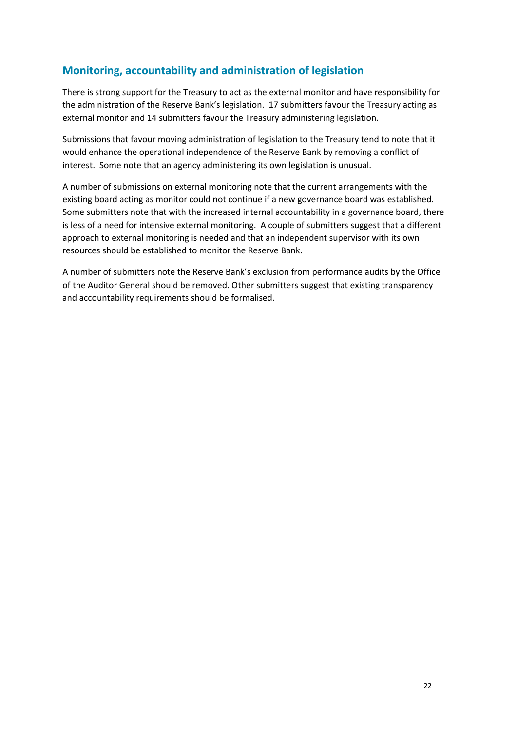### **Monitoring, accountability and administration of legislation**

There is strong support for the Treasury to act as the external monitor and have responsibility for the administration of the Reserve Bank's legislation. 17 submitters favour the Treasury acting as external monitor and 14 submitters favour the Treasury administering legislation.

Submissions that favour moving administration of legislation to the Treasury tend to note that it would enhance the operational independence of the Reserve Bank by removing a conflict of interest. Some note that an agency administering its own legislation is unusual.

A number of submissions on external monitoring note that the current arrangements with the existing board acting as monitor could not continue if a new governance board was established. Some submitters note that with the increased internal accountability in a governance board, there is less of a need for intensive external monitoring. A couple of submitters suggest that a different approach to external monitoring is needed and that an independent supervisor with its own resources should be established to monitor the Reserve Bank.

A number of submitters note the Reserve Bank's exclusion from performance audits by the Office of the Auditor General should be removed. Other submitters suggest that existing transparency and accountability requirements should be formalised.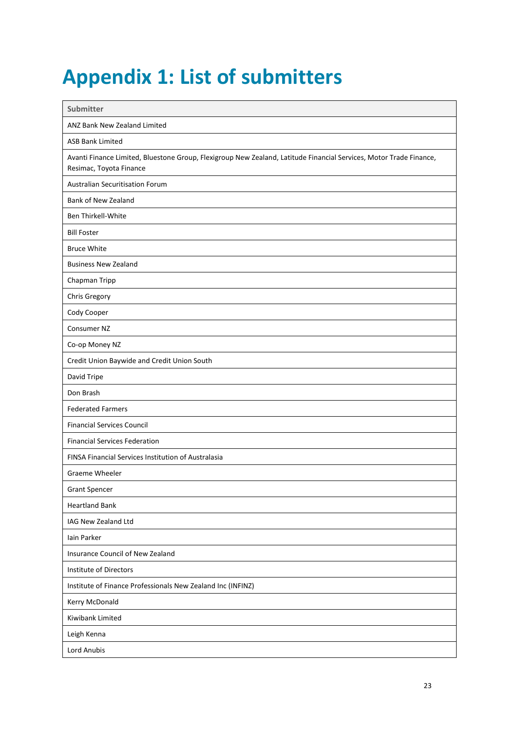## <span id="page-24-0"></span>**Appendix 1: List of submitters**

| Submitter                                                                                                                                     |
|-----------------------------------------------------------------------------------------------------------------------------------------------|
| ANZ Bank New Zealand Limited                                                                                                                  |
| <b>ASB Bank Limited</b>                                                                                                                       |
| Avanti Finance Limited, Bluestone Group, Flexigroup New Zealand, Latitude Financial Services, Motor Trade Finance,<br>Resimac, Toyota Finance |
| Australian Securitisation Forum                                                                                                               |
| Bank of New Zealand                                                                                                                           |
| Ben Thirkell-White                                                                                                                            |
| <b>Bill Foster</b>                                                                                                                            |
| <b>Bruce White</b>                                                                                                                            |
| <b>Business New Zealand</b>                                                                                                                   |
| Chapman Tripp                                                                                                                                 |
| Chris Gregory                                                                                                                                 |
| Cody Cooper                                                                                                                                   |
| Consumer NZ                                                                                                                                   |
| Co-op Money NZ                                                                                                                                |
| Credit Union Baywide and Credit Union South                                                                                                   |
| David Tripe                                                                                                                                   |
| Don Brash                                                                                                                                     |
| <b>Federated Farmers</b>                                                                                                                      |
| <b>Financial Services Council</b>                                                                                                             |
| <b>Financial Services Federation</b>                                                                                                          |
| FINSA Financial Services Institution of Australasia                                                                                           |
| Graeme Wheeler                                                                                                                                |
| <b>Grant Spencer</b>                                                                                                                          |
| <b>Heartland Bank</b>                                                                                                                         |
| IAG New Zealand Ltd                                                                                                                           |
| lain Parker                                                                                                                                   |
| Insurance Council of New Zealand                                                                                                              |
| Institute of Directors                                                                                                                        |
| Institute of Finance Professionals New Zealand Inc (INFINZ)                                                                                   |
| Kerry McDonald                                                                                                                                |
| Kiwibank Limited                                                                                                                              |
| Leigh Kenna                                                                                                                                   |
| Lord Anubis                                                                                                                                   |